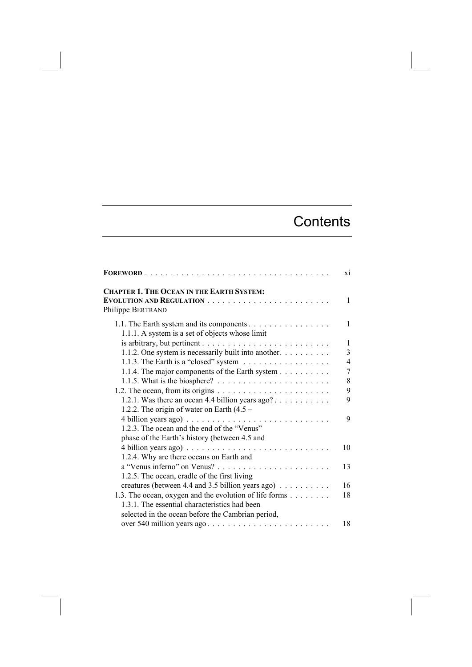## **Contents**

| $ \textbf{FOREWORD}$                                                                        | X1             |
|---------------------------------------------------------------------------------------------|----------------|
| <b>CHAPTER 1. THE OCEAN IN THE EARTH SYSTEM:</b><br>Philippe BERTRAND                       | 1              |
| 1.1. The Earth system and its components<br>1.1.1. A system is a set of objects whose limit | 1              |
|                                                                                             | $\mathbf{1}$   |
| 1.1.2. One system is necessarily built into another.                                        | 3              |
| 1.1.3. The Earth is a "closed" system $\ldots \ldots \ldots \ldots \ldots$                  | $\overline{4}$ |
| 1.1.4. The major components of the Earth system                                             | 7              |
|                                                                                             | 8              |
|                                                                                             | 9              |
| 1.2.1. Was there an ocean 4.4 billion years $ago? \ldots \ldots \ldots$                     | 9              |
| 1.2.2. The origin of water on Earth $(4.5 -$                                                |                |
|                                                                                             | 9              |
| 1.2.3. The ocean and the end of the "Venus"                                                 |                |
| phase of the Earth's history (between 4.5 and                                               |                |
|                                                                                             | 10             |
| 1.2.4. Why are there oceans on Earth and                                                    |                |
|                                                                                             | 13             |
| 1.2.5. The ocean, cradle of the first living                                                |                |
| creatures (between 4.4 and 3.5 billion years ago) $\dots \dots \dots$                       | 16             |
| 1.3. The ocean, oxygen and the evolution of life forms                                      | 18             |
| 1.3.1. The essential characteristics had been                                               |                |
| selected in the ocean before the Cambrian period,                                           |                |
| over 540 million years ago                                                                  | 18             |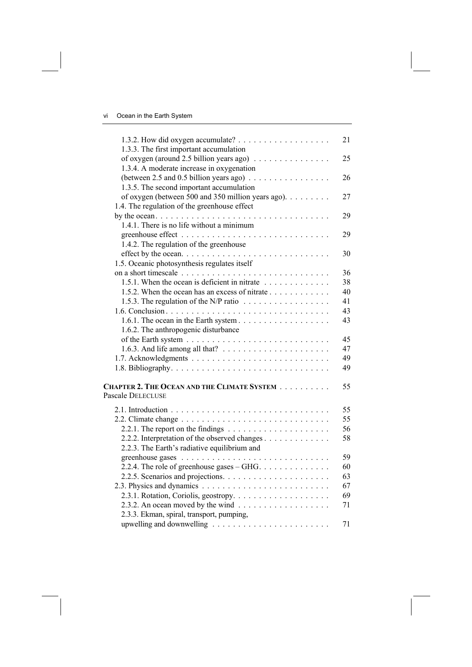|                                                                                       | 21 |
|---------------------------------------------------------------------------------------|----|
| 1.3.3. The first important accumulation                                               |    |
| of oxygen (around 2.5 billion years ago)<br>1.3.4. A moderate increase in oxygenation | 25 |
| (between 2.5 and 0.5 billion years ago) $\ldots$                                      | 26 |
| 1.3.5. The second important accumulation                                              |    |
| of oxygen (between 500 and 350 million years ago).                                    | 27 |
|                                                                                       |    |
| 1.4. The regulation of the greenhouse effect                                          |    |
| 1.4.1. There is no life without a minimum                                             | 29 |
|                                                                                       |    |
|                                                                                       | 29 |
| 1.4.2. The regulation of the greenhouse                                               |    |
|                                                                                       | 30 |
| 1.5. Oceanic photosynthesis regulates itself                                          |    |
| 1.5.1. When the ocean is deficient in nitrate $\ldots \ldots \ldots \ldots$           | 36 |
|                                                                                       | 38 |
| 1.5.2. When the ocean has an excess of nitrate                                        | 40 |
| 1.5.3. The regulation of the N/P ratio $\dots \dots \dots \dots \dots \dots$          | 41 |
|                                                                                       | 43 |
|                                                                                       | 43 |
| 1.6.2. The anthropogenic disturbance                                                  |    |
|                                                                                       | 45 |
| 1.6.3. And life among all that? $\ldots \ldots \ldots \ldots \ldots \ldots$           | 47 |
|                                                                                       | 49 |
|                                                                                       | 49 |
| CHAPTER 2. THE OCEAN AND THE CLIMATE SYSTEM                                           | 55 |
| Pascale DELECLUSE                                                                     |    |
|                                                                                       | 55 |
|                                                                                       | 55 |
| 2.2.1. The report on the findings $\ldots \ldots \ldots \ldots \ldots \ldots$         | 56 |
| 2.2.2. Interpretation of the observed changes                                         | 58 |
| 2.2.3. The Earth's radiative equilibrium and                                          |    |
|                                                                                       | 59 |
| 2.2.4. The role of greenhouse gases – GHG. $\dots \dots \dots \dots$                  | 60 |
|                                                                                       | 63 |
|                                                                                       | 67 |
|                                                                                       | 69 |
|                                                                                       | 71 |
| 2.3.3. Ekman, spiral, transport, pumping,                                             |    |
|                                                                                       | 71 |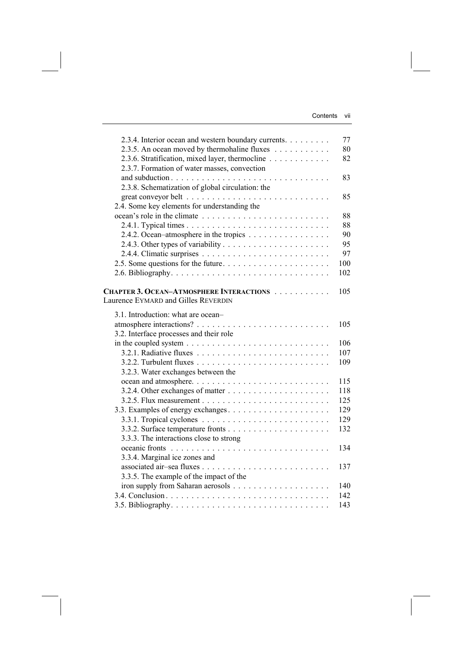| 2.3.4. Interior ocean and western boundary currents. | 77  |
|------------------------------------------------------|-----|
| 2.3.5. An ocean moved by thermohaline fluxes         | 80  |
| 2.3.6. Stratification, mixed layer, thermocline      | 82  |
| 2.3.7. Formation of water masses, convection         |     |
|                                                      | 83  |
| 2.3.8. Schematization of global circulation: the     |     |
|                                                      | 85  |
| 2.4. Some key elements for understanding the         |     |
|                                                      | 88  |
|                                                      | 88  |
| 2.4.2. Ocean-atmosphere in the tropics               | 90  |
|                                                      | 95  |
|                                                      | 97  |
|                                                      | 100 |
|                                                      | 102 |
|                                                      |     |
| CHAPTER 3. OCEAN-ATMOSPHERE INTERACTIONS             | 105 |
| Laurence EYMARD and Gilles REVERDIN                  |     |
| 3.1. Introduction: what are ocean-                   |     |
|                                                      | 105 |
| 3.2. Interface processes and their role              |     |
|                                                      | 106 |
|                                                      | 107 |
|                                                      | 109 |
| 3.2.3. Water exchanges between the                   |     |
|                                                      | 115 |
|                                                      | 118 |
|                                                      | 125 |
| 3.3. Examples of energy exchanges                    | 129 |
|                                                      | 129 |
|                                                      | 132 |
| 3.3.3. The interactions close to strong              |     |
|                                                      | 134 |
| 3.3.4. Marginal ice zones and                        |     |
|                                                      | 137 |
|                                                      |     |
| 3.3.5. The example of the impact of the              | 140 |
|                                                      |     |
|                                                      | 142 |
|                                                      | 143 |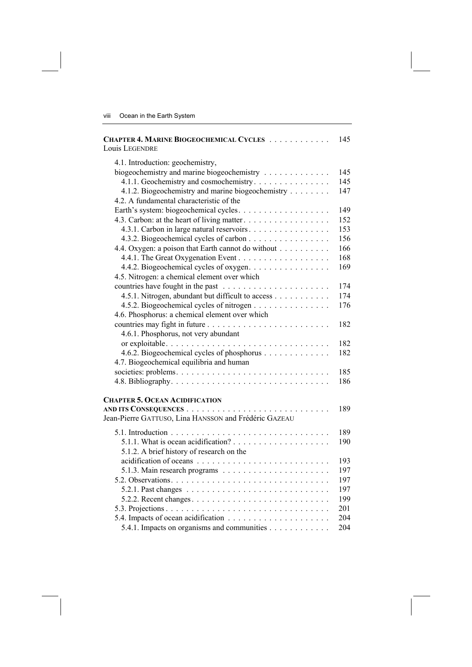| CHAPTER 4. MARINE BIOGEOCHEMICAL CYCLES<br>Louis LEGENDRE                            | 145 |
|--------------------------------------------------------------------------------------|-----|
| 4.1. Introduction: geochemistry,                                                     |     |
| biogeochemistry and marine biogeochemistry                                           | 145 |
| 4.1.1. Geochemistry and cosmochemistry                                               | 145 |
| 4.1.2. Biogeochemistry and marine biogeochemistry                                    | 147 |
| 4.2. A fundamental characteristic of the                                             |     |
|                                                                                      | 149 |
| 4.3. Carbon: at the heart of living matter.                                          | 152 |
| 4.3.1. Carbon in large natural reservoirs.                                           | 153 |
| 4.3.2. Biogeochemical cycles of carbon                                               | 156 |
| 4.4. Oxygen: a poison that Earth cannot do without                                   | 166 |
|                                                                                      | 168 |
| 4.4.2. Biogeochemical cycles of oxygen.                                              | 169 |
| 4.5. Nitrogen: a chemical element over which                                         |     |
|                                                                                      | 174 |
| 4.5.1. Nitrogen, abundant but difficult to access                                    | 174 |
| 4.5.2. Biogeochemical cycles of nitrogen                                             | 176 |
| 4.6. Phosphorus: a chemical element over which                                       |     |
|                                                                                      | 182 |
| 4.6.1. Phosphorus, not very abundant                                                 |     |
|                                                                                      | 182 |
| 4.6.2. Biogeochemical cycles of phosphorus                                           | 182 |
| 4.7. Biogeochemical equilibria and human                                             |     |
|                                                                                      | 185 |
|                                                                                      | 186 |
|                                                                                      |     |
| <b>CHAPTER 5. OCEAN ACIDIFICATION</b>                                                |     |
|                                                                                      | 189 |
| Jean-Pierre GATTUSO, Lina HANSSON and Frédéric GAZEAU                                |     |
|                                                                                      | 189 |
|                                                                                      | 190 |
| 5.1.2. A brief history of research on the                                            |     |
|                                                                                      | 193 |
|                                                                                      | 197 |
|                                                                                      | 197 |
| 5.2.1. Past changes $\ldots \ldots \ldots \ldots \ldots \ldots \ldots \ldots \ldots$ | 197 |
|                                                                                      | 199 |
|                                                                                      | 201 |
|                                                                                      | 204 |
| 5.4.1. Impacts on organisms and communities                                          | 204 |
|                                                                                      |     |